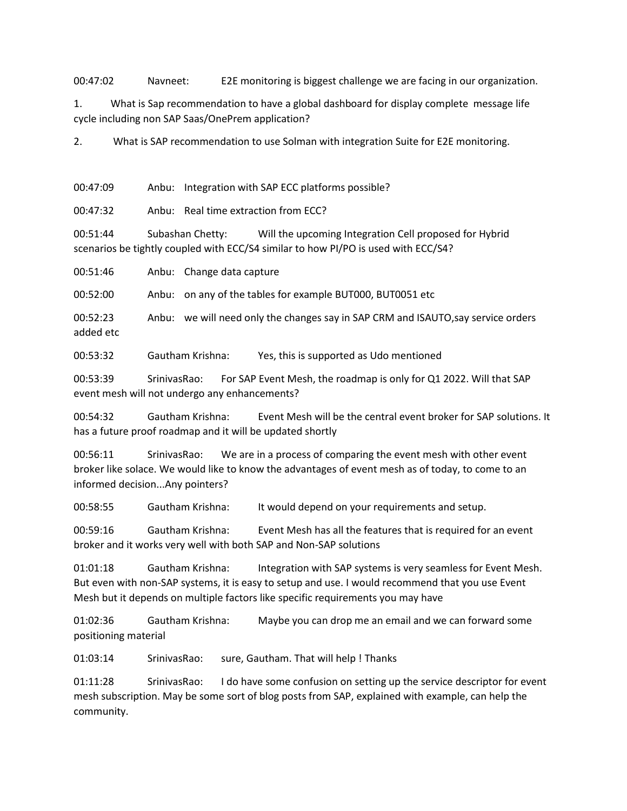00:47:02 Navneet: E2E monitoring is biggest challenge we are facing in our organization.

1. What is Sap recommendation to have a global dashboard for display complete message life cycle including non SAP Saas/OnePrem application?

2. What is SAP recommendation to use Solman with integration Suite for E2E monitoring.

00:47:09 Anbu: Integration with SAP ECC platforms possible?

00:47:32 Anbu: Real time extraction from ECC?

00:51:44 Subashan Chetty: Will the upcoming Integration Cell proposed for Hybrid scenarios be tightly coupled with ECC/S4 similar to how PI/PO is used with ECC/S4?

00:51:46 Anbu: Change data capture

00:52:00 Anbu: on any of the tables for example BUT000, BUT0051 etc

00:52:23 Anbu: we will need only the changes say in SAP CRM and ISAUTO,say service orders added etc

00:53:32 Gautham Krishna: Yes, this is supported as Udo mentioned

00:53:39 SrinivasRao: For SAP Event Mesh, the roadmap is only for Q1 2022. Will that SAP event mesh will not undergo any enhancements?

00:54:32 Gautham Krishna: Event Mesh will be the central event broker for SAP solutions. It has a future proof roadmap and it will be updated shortly

00:56:11 SrinivasRao: We are in a process of comparing the event mesh with other event broker like solace. We would like to know the advantages of event mesh as of today, to come to an informed decision...Any pointers?

00:58:55 Gautham Krishna: It would depend on your requirements and setup.

00:59:16 Gautham Krishna: Event Mesh has all the features that is required for an event broker and it works very well with both SAP and Non-SAP solutions

01:01:18 Gautham Krishna: Integration with SAP systems is very seamless for Event Mesh. But even with non-SAP systems, it is easy to setup and use. I would recommend that you use Event Mesh but it depends on multiple factors like specific requirements you may have

01:02:36 Gautham Krishna: Maybe you can drop me an email and we can forward some positioning material

01:03:14 SrinivasRao: sure, Gautham. That will help ! Thanks

01:11:28 SrinivasRao: I do have some confusion on setting up the service descriptor for event mesh subscription. May be some sort of blog posts from SAP, explained with example, can help the community.